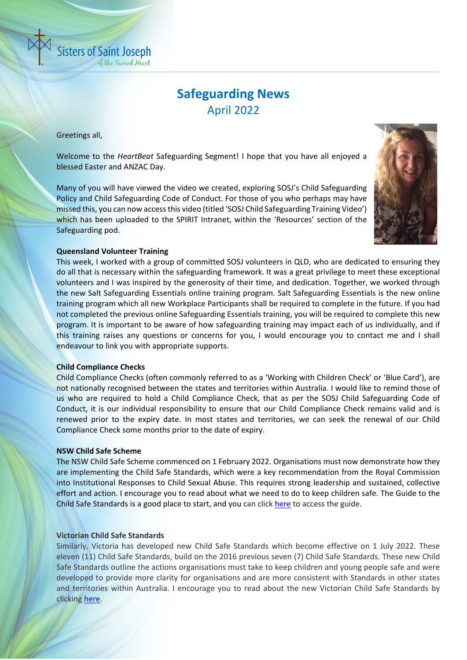

Greetings all,

**Sisters of Saint Joseph** 

**b** the Sacred Heart

Welcome to the *HeartBeat* Safeguarding Segment! I hope that you have all enjoyed a blessed Easter and ANZAC Day.

Many of you will have viewed the video we created, exploring SOSJ's Child Safeguarding Policy and Child Safeguarding Code of Conduct. For those of you who perhaps may have missed this, you can now access this video (titled 'SOSJ Child Safeguarding Training Video') which has been uploaded to the SPIRIT Intranet, within the 'Resources' section of the Safeguarding pod.



## **Queensland Volunteer Training**

This week, I worked with a group of committed SOSJ volunteers in QLD, who are dedicated to ensuring they do all that is necessary within the safeguarding framework. It was a great privilege to meet these exceptional volunteers and I was inspired by the generosity of their time, and dedication. Together, we worked through the new Salt Safeguarding Essentials online training program. Salt Safeguarding Essentials is the new online training program which all new Workplace Participants shall be required to complete in the future. If you had not completed the previous online Safeguarding Essentials training, you will be required to complete this new program. It is important to be aware of how safeguarding training may impact each of us individually, and if this training raises any questions or concerns for you, I would encourage you to contact me and I shall endeavour to link you with appropriate supports.

### **Child Compliance Checks**

Child Compliance Checks (often commonly referred to as a 'Working with Children Check' or 'Blue Card'), are not nationally recognised between the states and territories within Australia. I would like to remind those of us who are required to hold a Child Compliance Check, that as per the SOSJ Child Safeguarding Code of Conduct, it is our individual responsibility to ensure that our Child Compliance Check remains valid and is renewed prior to the expiry date. In most states and territories, we can seek the renewal of our Child Compliance Check some months prior to the date of expiry.

### **NSW Child Safe Scheme**

The NSW Child Safe Scheme commenced on 1 February 2022. Organisations must now demonstrate how they are implementing the Child Safe Standards, which were a key recommendation from the Royal Commission into Institutional Responses to Child Sexual Abuse. This requires strong leadership and sustained, collective effort and action. I encourage you to read about what we need to do to keep children safe. The Guide to the Child Safe Standards is a good place to start, and you can click [here](https://ocg.nsw.gov.au/sites/default/files/2021-12/g_CSS_GuidetotheStandards.pdf) to access the guide.

# **Victorian Child Safe Standards**

Similarly, Victoria has developed new Child Safe Standards which become effective on 1 July 2022. These eleven (11) Child Safe Standards, build on the 2016 previous seven (7) Child Safe Standards. These new Child Safe Standards outline the actions organisations must take to keep children and young people safe and were developed to provide more clarity for organisations and are more consistent with Standards in other states and territories within Australia. I encourage you to read about the new Victorian Child Safe Standards by clicking [here.](https://ccyp.vic.gov.au/assets/resources/New-CSS/New-Child-Safe-Standards-Information-Sheet.pdf)